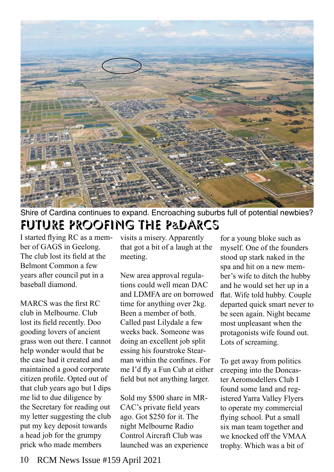

Future proofing the p&darcs Shire of Cardina continues to expand. Encroaching suburbs full of potential newbies?

I started flying RC as a member of GAGS in Geelong. The club lost its field at the Belmont Common a few years after council put in a baseball diamond.

MARCS was the first RC club in Melbourne. Club lost its field recently. Doo gooding lovers of ancient grass won out there. I cannot help wonder would that be the case had it created and maintained a good corporate citizen profile. Opted out of that club years ago but I dips me lid to due diligence by the Secretary for reading out my letter suggesting the club put my key deposit towards a head job for the grumpy prick who made members

visits a misery. Apparently that got a bit of a laugh at the meeting.

New area approval regulations could well mean DAC and LDMFA are on borrowed time for anything over 2kg. Been a member of both. Called past Lilydale a few weeks back. Someone was doing an excellent job split essing his fourstroke Stearman within the confines. For me I'd fly a Fun Cub at either field but not anything larger.

Sold my \$500 share in MR-CAC's private field years ago. Got \$250 for it. The night Melbourne Radio Control Aircraft Club was launched was an experience

for a young bloke such as myself. One of the founders stood up stark naked in the spa and hit on a new member's wife to ditch the hubby and he would set her up in a flat. Wife told hubby. Couple departed quick smart never to be seen again. Night became most unpleasant when the protagonists wife found out. Lots of screaming.

To get away from politics creeping into the Doncaster Aeromodellers Club I found some land and registered Yarra Valley Flyers to operate my commercial flying school. Put a small six man team together and we knocked off the VMAA trophy. Which was a bit of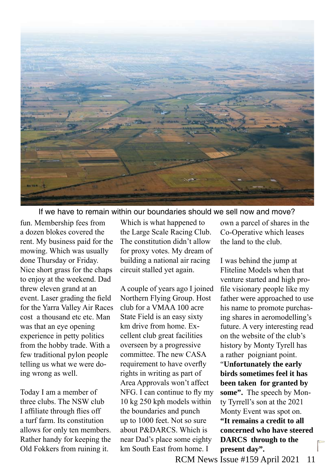

If we have to remain within our boundaries should we sell now and move?

fun. Membership fees from a dozen blokes covered the rent. My business paid for the mowing. Which was usually done Thursday or Friday. Nice short grass for the chaps to enjoy at the weekend. Dad threw eleven grand at an event. Laser grading the field for the Yarra Valley Air Races cost a thousand etc etc. Man was that an eye opening experience in petty politics from the hobby trade. With a few traditional pylon people telling us what we were doing wrong as well.

Today I am a member of three clubs. The NSW club I affiliate through flies off a turf farm. Its constitution allows for only ten members. Rather handy for keeping the Old Fokkers from ruining it.

Which is what happened to the Large Scale Racing Club. The constitution didn't allow for proxy votes. My dream of building a national air racing circuit stalled yet again.

A couple of years ago I joined Northern Flying Group. Host club for a VMAA 100 acre State Field is an easy sixty km drive from home. Excellent club great facilities overseen by a progressive committee. The new CASA requirement to have overfly rights in writing as part of Area Approvals won't affect NFG. I can continue to fly my 10 kg 250 kph models within the boundaries and punch up to 1000 feet. Not so sure about P&DARCS. Which is near Dad's place some eighty km South East from home. I

own a parcel of shares in the Co-Operative which leases the land to the club.

I was behind the jump at Fliteline Models when that venture started and high profile visionary people like my father were approached to use his name to promote purchasing shares in aeromodelling's future. A very interesting read on the website of the club's history by Monty Tyrell has a rather poigniant point.

"**Unfortunately the early birds sometimes feel it has been taken for granted by some".** The speech by Monty Tyrrell's son at the 2021 Monty Event was spot on. **"It remains a credit to all concerned who have steered DARCS through to the present day".**

RCM News Issue #159 April 2021 11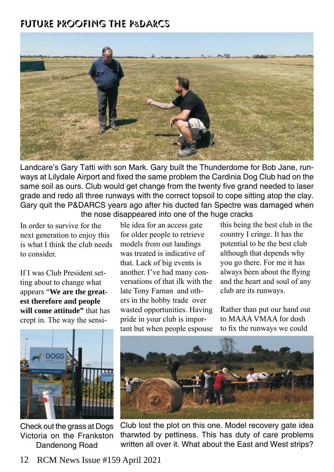

Landcare's Gary Tatti with son Mark. Gary built the Thunderdome for Bob Jane, runways at Lilydale Airport and fixed the same problem the Cardinia Dog Club had on the same soil as ours. Club would get change from the twenty five grand needed to laser grade and redo all three runways with the correct topsoil to cope sitting atop the clay. Gary quit the P&DARCS years ago after his ducted fan Spectre was damaged when the nose disappeared into one of the huge cracks

In order to survive for the next generation to enjoy this is what I think the club needs to consider.

If I was Club President setting about to change what appears "**We are the greatest therefore and people will come attitude**" that has crept in. The way the sensible idea for an access gate for older people to retrieve models from out landings was treated is indicative of that. Lack of big events is another. I've had many conversations of that ilk with the late Tony Farnan and others in the hobby trade over wasted opportunities. Having pride in your club is important but when people espouse

this being the best club in the country I cringe. It has the potential to be the best club although that depends why you go there. For me it has always been about the flying and the heart and soul of any club are its runways.

Rather than put our hand out to MAAA VMAA for dosh to fix the runways we could



Check out the grass at Dogs Victoria on the Frankston Dandenong Road



Club lost the plot on this one. Model recovery gate idea tharwted by pettiness. This has duty of care problems written all over it. What about the East and West strips?

12 RCM News Issue #159 April 2021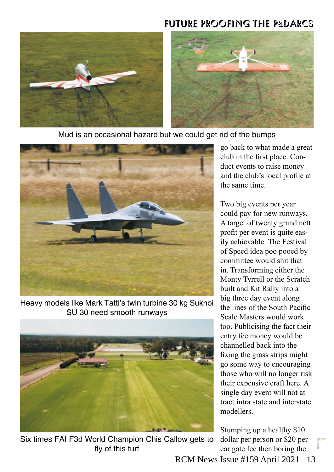

Mud is an occasional hazard but we could get rid of the bumps



Heavy models like Mark Tatti's twin turbine 30 kg Sukhoi SU 30 need smooth runways



Six times FAI F3d World Champion Chis Callow gets to fly of this turf

go back to what made a great club in the first place. Conduct events to raise money and the club's local profile at the same time.

Two big events per year could pay for new runways. A target of twenty grand nett profit per event is quite easily achievable. The Festival of Speed idea poo pooed by committee would shit that in. Transforming either the Monty Tyrrell or the Scratch built and Kit Rally into a big three day event along the lines of the South Pacific Scale Masters would work too. Publicising the fact their entry fee money would be channelled back into the fixing the grass strips might go some way to encouraging those who will no longer risk their expensive craft here. A single day event will not attract intra state and interstate modellers.

Stumping up a healthy \$10 dollar per person or \$20 per car gate fee then boring the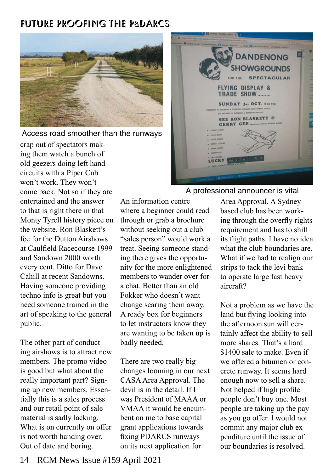

Access road smoother than the runways

crap out of spectators making them watch a bunch of old geezers doing left hand circuits with a Piper Cub won't work. They won't come back. Not so if they are entertained and the answer to that is right there in that Monty Tyrell history piece on the website. Ron Blaskett's fee for the Dutton Airshows at Caulfield Racecourse 1999 and Sandown 2000 worth every cent. Ditto for Dave Cahill at recent Sandowns. Having someone providing techno info is great but you need someone trained in the art of speaking to the general public.

The other part of conducting airshows is to attract new members. The promo video is good but what about the really important part? Signing up new members. Essentially this is a sales process and our retail point of sale material is sadly lacking. What is on currently on offer is not worth handing over. Out of date and boring.

An information centre where a beginner could read through or grab a brochure without seeking out a club "sales person" would work a treat. Seeing someone standing there gives the opportunity for the more enlightened members to wander over for a chat. Better than an old Fokker who doesn't want change scaring them away. A ready box for beginners to let instructors know they are wanting to be taken up is badly needed.

There are two really big changes looming in our next CASA Area Approval. The devil is in the detail. If I was President of MAAA or VMAA it would be encumbent on me to base capital grant applications towards fixing PDARCS runways on its next application for



#### A professional announcer is vital

Area Approval. A Sydney based club has been working through the overfly rights requirement and has to shift its flight paths. I have no idea what the club boundaries are. What if we had to realign our strips to tack the levi bank to operate large fast heavy aircraft?

Not a problem as we have the land but flying looking into the afternoon sun will certainly affect the ability to sell more shares. That's a hard \$1400 sale to make. Even if we offered a bitumen or concrete runway. It seems hard enough now to sell a share. Not helped if high profile people don't buy one. Most people are taking up the pay as you go offer. I would not commit any major club expenditure until the issue of our boundaries is resolved.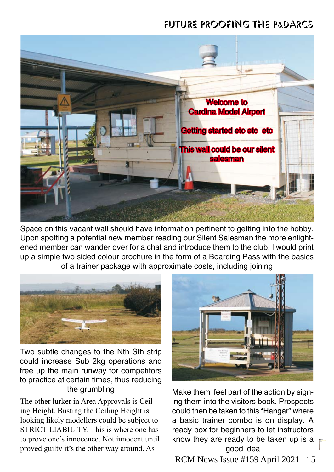

Space on this vacant wall should have information pertinent to getting into the hobby. Upon spotting a potential new member reading our Silent Salesman the more enlightened member can wander over for a chat and introduce them to the club. I would print up a simple two sided colour brochure in the form of a Boarding Pass with the basics of a trainer package with approximate costs, including joining



Two subtle changes to the Nth Sth strip could increase Sub 2kg operations and free up the main runway for competitors to practice at certain times, thus reducing the grumbling

The other lurker in Area Approvals is Ceiling Height. Busting the Ceiling Height is looking likely modellers could be subject to STRICT LIABILITY. This is where one has to prove one's innocence. Not innocent until proved guilty it's the other way around. As



Make them feel part of the action by signing them into the visitors book. Prospects could then be taken to this "Hangar" where a basic trainer combo is on display. A ready box for beginners to let instructors know they are ready to be taken up is a good idea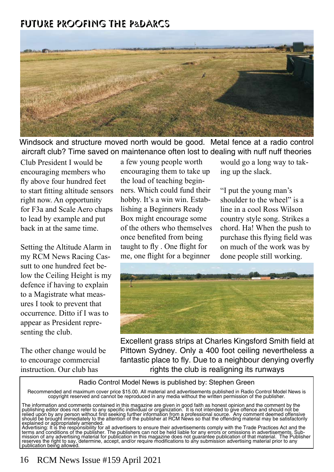

Windsock and structure moved north would be good. Metal fence at a radio control aircraft club? Time saved on maintenance often lost to dealing with nuff nuff theories

Club President I would be encouraging members who fly above four hundred feet to start fitting altitude sensors right now. An opportunity for F3a and Scale Aero chaps to lead by example and put back in at the same time.

Setting the Altitude Alarm in my RCM News Racing Cassutt to one hundred feet below the Ceiling Height is my defence if having to explain to a Magistrate what measures I took to prevent that occurrence. Ditto if I was to appear as President representing the club.

The other change would be to encourage commercial instruction. Our club has

a few young people worth encouraging them to take up the load of teaching beginners. Which could fund their hobby. It's a win win. Establishing a Beginners Ready Box might encourage some of the others who themselves once benefited from being taught to fly . One flight for me, one flight for a beginner

would go a long way to taking up the slack.

"I put the young man's shoulder to the wheel" is a line in a cool Ross Wilson country style song. Strikes a chord. Ha! When the push to purchase this flying field was on much of the work was by done people still working.



Excellent grass strips at Charles Kingsford Smith field at Pittown Sydney. Only a 400 foot ceiling nevertheless a fantastic place to fly. Due to a neighbour denying overfly rights the club is realigning its runways

#### Radio Control Model News is published by: Stephen Green

Recommended and maximum cover price \$15.00. All material and advertisements published in Radio Control Model News is<br>copyright reserved and cannot be reproduced in any media without the written permission of the publisher.

The information and comments contained in this magazine are given in good faith as honest opinion and the comment by the publishing editor does not refer to any specific individual or organization. It is not intended to give offence and should not be relied upon by any person without first seeking further information from a professional source. Any comment deemed offensive should be brought immediately to the attention of the publisher at RCM News so that the offending material may be satisfactorily explained or appropriately amended.

Advertising: It is the responsibility for all advertisers to ensure their advertisements comply with the Trade Practices Act and the terms and conditions of the publisher. The publishers can not be held liable for any errors or omissions in advertisements. Sub-<br>mission of any advertising material for publication in this magazine does not guarantee publi reserves the right to say, determine, accept, and/or require modifications to any submission advertising material prior to any publication being allowed.